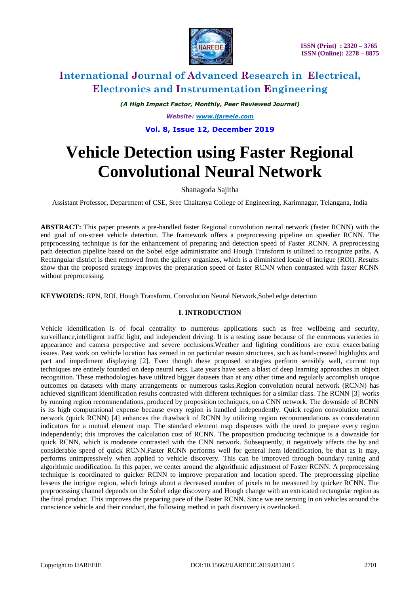

*(A High Impact Factor, Monthly, Peer Reviewed Journal)*

*Website: [www.ijareeie.com](http://www.ijareeie.com/)*

## **Vol. 8, Issue 12, December 2019**

# **Vehicle Detection using Faster Regional Convolutional Neural Network**

Shanagoda Sajitha

Assistant Professor, Department of CSE, Sree Chaitanya College of Engineering, Karimnagar, Telangana, India

**ABSTRACT:** This paper presents a pre-handled faster Regional convolution neural network (faster RCNN) with the end goal of on-street vehicle detection. The framework offers a preprocessing pipeline on speedier RCNN. The preprocessing technique is for the enhancement of preparing and detection speed of Faster RCNN. A preprocessing path detection pipeline based on the Sobel edge administrator and Hough Transform is utilized to recognize paths. A Rectangular district is then removed from the gallery organizes, which is a diminished locale of intrigue (ROI). Results show that the proposed strategy improves the preparation speed of faster RCNN when contrasted with faster RCNN without preprocessing.

**KEYWORDS:** RPN, ROI, Hough Transform, Convolution Neural Network,Sobel edge detection

### **I. INTRODUCTION**

Vehicle identification is of focal centrality to numerous applications such as free wellbeing and security, surveillance,intelligent traffic light, and independent driving. It is a testing issue because of the enormous varieties in appearance and camera perspective and severe occlusions.Weather and lighting conditions are extra exacerbating issues. Past work on vehicle location has zeroed in on particular reason structures, such as hand-created highlights and part and impediment displaying [2]. Even though these proposed strategies perform sensibly well, current top techniques are entirely founded on deep neural nets. Late years have seen a blast of deep learning approaches in object recognition. These methodologies have utilized bigger datasets than at any other time and regularly accomplish unique outcomes on datasets with many arrangements or numerous tasks.Region convolution neural network (RCNN) has achieved significant identification results contrasted with different techniques for a similar class. The RCNN [3] works by running region recommendations, produced by proposition techniques, on a CNN network. The downside of RCNN is its high computational expense because every region is handled independently. Quick region convolution neural network (quick RCNN) [4] enhances the drawback of RCNN by utilizing region recommendations as consideration indicators for a mutual element map. The standard element map dispenses with the need to prepare every region independently; this improves the calculation cost of RCNN. The proposition producing technique is a downside for quick RCNN, which is moderate contrasted with the CNN network. Subsequently, it negatively affects the by and considerable speed of quick RCNN.Faster RCNN performs well for general item identification, be that as it may, performs unimpressively when applied to vehicle discovery. This can be improved through boundary tuning and algorithmic modification. In this paper, we center around the algorithmic adjustment of Faster RCNN. A preprocessing technique is coordinated to quicker RCNN to improve preparation and location speed. The preprocessing pipeline lessens the intrigue region, which brings about a decreased number of pixels to be measured by quicker RCNN. The preprocessing channel depends on the Sobel edge discovery and Hough change with an extricated rectangular region as the final product. This improves the preparing pace of the Faster RCNN. Since we are zeroing in on vehicles around the conscience vehicle and their conduct, the following method in path discovery is overlooked.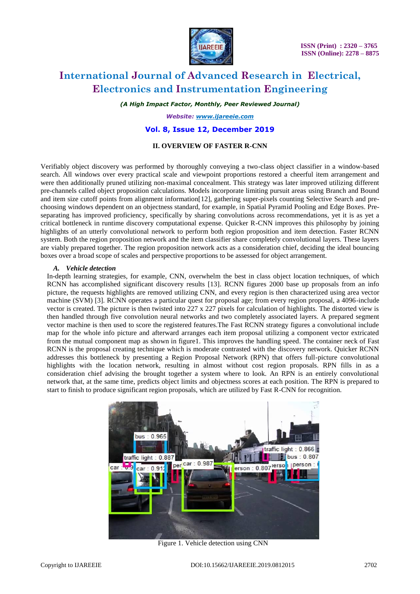

*(A High Impact Factor, Monthly, Peer Reviewed Journal)*

*Website: [www.ijareeie.com](http://www.ijareeie.com/)*

### **Vol. 8, Issue 12, December 2019**

#### **II. OVERVIEW OF FASTER R-CNN**

Verifiably object discovery was performed by thoroughly conveying a two-class object classifier in a window-based search. All windows over every practical scale and viewpoint proportions restored a cheerful item arrangement and were then additionally pruned utilizing non-maximal concealment. This strategy was later improved utilizing different pre-channels called object proposition calculations. Models incorporate limiting pursuit areas using Branch and Bound and item size cutoff points from alignment information[12], gathering super-pixels counting Selective Search and prechoosing windows dependent on an objectness standard, for example, in Spatial Pyramid Pooling and Edge Boxes. Preseparating has improved proficiency, specifically by sharing convolutions across recommendations, yet it is as yet a critical bottleneck in runtime discovery computational expense. Quicker R-CNN improves this philosophy by joining highlights of an utterly convolutional network to perform both region proposition and item detection. Faster RCNN system. Both the region proposition network and the item classifier share completely convolutional layers. These layers are viably prepared together. The region proposition network acts as a consideration chief, deciding the ideal bouncing boxes over a broad scope of scales and perspective proportions to be assessed for object arrangement.

#### *A. Vehicle detection*

In-depth learning strategies, for example, CNN, overwhelm the best in class object location techniques, of which RCNN has accomplished significant discovery results [13]. RCNN figures 2000 base up proposals from an info picture, the requests highlights are removed utilizing CNN, and every region is then characterized using area vector machine (SVM) [3]. RCNN operates a particular quest for proposal age; from every region proposal, a 4096-include vector is created. The picture is then twisted into 227 x 227 pixels for calculation of highlights. The distorted view is then handled through five convolution neural networks and two completely associated layers. A prepared segment vector machine is then used to score the registered features.The Fast RCNN strategy figures a convolutional include map for the whole info picture and afterward arranges each item proposal utilizing a component vector extricated from the mutual component map as shown in figure1. This improves the handling speed. The container neck of Fast RCNN is the proposal creating technique which is moderate contrasted with the discovery network. Quicker RCNN addresses this bottleneck by presenting a Region Proposal Network (RPN) that offers full-picture convolutional highlights with the location network, resulting in almost without cost region proposals. RPN fills in as a consideration chief advising the brought together a system where to look. An RPN is an entirely convolutional network that, at the same time, predicts object limits and objectness scores at each position. The RPN is prepared to start to finish to produce significant region proposals, which are utilized by Fast R-CNN for recognition.



Figure 1. Vehicle detection using CNN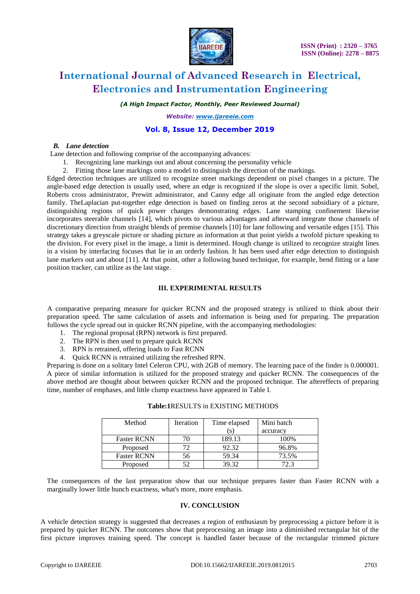

*(A High Impact Factor, Monthly, Peer Reviewed Journal)*

*Website: [www.ijareeie.com](http://www.ijareeie.com/)*

# **Vol. 8, Issue 12, December 2019**

#### *B. Lane detection*

Lane detection and following comprise of the accompanying advances:

- 1. Recognizing lane markings out and about concerning the personality vehicle
- 2. Fitting those lane markings onto a model to distinguish the direction of the markings.

Edged detection techniques are utilized to recognize street markings dependent on pixel changes in a picture. The angle-based edge detection is usually used, where an edge is recognized if the slope is over a specific limit. Sobel, Roberts cross administrator, Prewitt administrator, and Canny edge all originate from the angled edge detection family. TheLaplacian put-together edge detection is based on finding zeros at the second subsidiary of a picture, distinguishing regions of quick power changes demonstrating edges. Lane stamping confinement likewise incorporates steerable channels [14], which pivots to various advantages and afterward integrate those channels of discretionary direction from straight blends of premise channels [10] for lane following and versatile edges [15]. This strategy takes a greyscale picture or shading picture as information at that point yields a twofold picture speaking to the division. For every pixel in the image, a limit is determined. Hough change is utilized to recognize straight lines in a vision by interfacing focuses that lie in an orderly fashion. It has been used after edge detection to distinguish lane markers out and about [11]. At that point, other a following based technique, for example, bend fitting or a lane position tracker, can utilize as the last stage.

#### **III. EXPERIMENTAL RESULTS**

A comparative preparing measure for quicker RCNN and the proposed strategy is utilized to think about their preparation speed. The same calculation of assets and information is being used for preparing. The preparation follows the cycle spread out in quicker RCNN pipeline, with the accompanying methodologies:

- 1. The regional proposal (RPN) network is first prepared.
- 2. The RPN is then used to prepare quick RCNN
- 3. RPN is retrained, offering loads to Fast RCNN
- 4. Quick RCNN is retrained utilizing the refreshed RPN.

Preparing is done on a solitary Intel Celeron CPU, with 2GB of memory. The learning pace of the finder is 0.000001. A piece of similar information is utilized for the proposed strategy and quicker RCNN. The consequences of the above method are thought about between quicker RCNN and the proposed technique. The aftereffects of preparing time, number of emphases, and little clump exactness have appeared in Table I.

| Method             | Iteration | Time elapsed | Mini batch |
|--------------------|-----------|--------------|------------|
|                    |           |              | accuracy   |
| <b>Faster RCNN</b> |           | 189.13       | 100%       |
| Proposed           |           | 92.32        | 96.8%      |
| <b>Faster RCNN</b> | 56        | 59.34        | 73.5%      |
| Proposed           |           | 39.32        | 72.3       |

#### **Table:1**RESULTS in EXISTING METHODS

The consequences of the last preparation show that our technique prepares faster than Faster RCNN with a marginally lower little bunch exactness, what's more, more emphasis.

### **IV. CONCLUSION**

A vehicle detection strategy is suggested that decreases a region of enthusiasm by preprocessing a picture before it is prepared by quicker RCNN. The outcomes show that preprocessing an image into a diminished rectangular bit of the first picture improves training speed. The concept is handled faster because of the rectangular trimmed picture